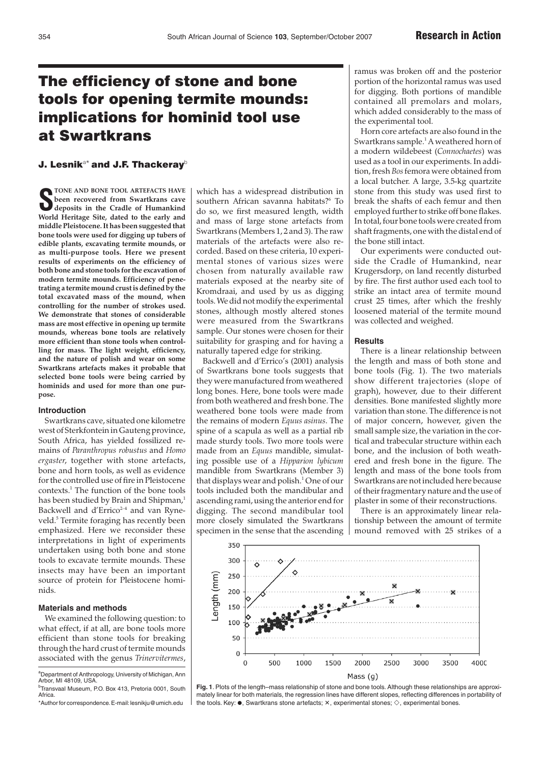# The efficiency of stone and bone tools for opening termite mounds: implications for hominid tool use at Swartkrans

# J. Lesnik<sup>a\*</sup> and J.F. Thackeray<sup>b</sup>

**S** TONE AND BONE TOOL ARTEFACTS HAVE been recovered from Swartkrans cave deposits in the Cradle of Humankind World Heritage Site, dated to the early and **TONE AND BONE TOOL ARTEFACTS HAVE been recovered from Swartkrans cave deposits in the Cradle of Humankind middle Pleistocene. It has been suggested that bone tools were used for digging up tubers of edible plants, excavating termite mounds, or as multi-purpose tools. Here we present results of experiments on the efficiency of both bone and stone tools for the excavation of modern termite mounds. Efficiency of penetrating a termite mound crust is defined by the total excavated mass of the mound, when controlling for the number of strokes used. We demonstrate that stones of considerable mass are most effective in opening up termite mounds, whereas bone tools are relatively more efficient than stone tools when controlling for mass. The light weight, efficiency, and the nature of polish and wear on some Swartkrans artefacts makes it probable that selected bone tools were being carried by hominids and used for more than one purpose.**

## **Introduction**

Swartkrans cave, situated one kilometre west of Sterkfontein in Gauteng province, South Africa, has yielded fossilized remains of *Paranthropus robustus* and *Homo ergaster*, together with stone artefacts, bone and horn tools, as well as evidence for the controlled use of fire in Pleistocene contexts.1 The function of the bone tools has been studied by Brain and Shipman,<sup>1</sup> Backwell and d'Errico<sup>2-4</sup> and van Ryneveld.<sup>5</sup> Termite foraging has recently been emphasized. Here we reconsider these interpretations in light of experiments undertaken using both bone and stone tools to excavate termite mounds. These insects may have been an important source of protein for Pleistocene hominids.

#### **Materials and methods**

We examined the following question: to what effect, if at all, are bone tools more efficient than stone tools for breaking through the hard crust of termite mounds associated with the genus *Trinervitermes*,

<sup>b</sup>Transvaal Museum, P.O. Box 413, Pretoria 0001, South **Africa** 

\*Author for correspondence.E-mail:lesnikju@umich.edu

which has a widespread distribution in southern African savanna habitats?<sup>6</sup> To do so, we first measured length, width and mass of large stone artefacts from Swartkrans (Members 1, 2 and 3). The raw materials of the artefacts were also recorded. Based on these criteria, 10 experimental stones of various sizes were chosen from naturally available raw materials exposed at the nearby site of Kromdraai, and used by us as digging tools. We did not modify the experimental stones, although mostly altered stones were measured from the Swartkrans sample. Our stones were chosen for their suitability for grasping and for having a naturally tapered edge for striking.

Backwell and d'Errico's (2001) analysis of Swartkrans bone tools suggests that they were manufactured from weathered long bones. Here, bone tools were made from both weathered and fresh bone. The weathered bone tools were made from the remains of modern *Equus asinus*. The spine of a scapula as well as a partial rib made sturdy tools. Two more tools were made from an *Equus* mandible, simulating possible use of a *Hipparion lybicum* mandible from Swartkrans (Member 3) that displays wear and polish.<sup>1</sup> One of our tools included both the mandibular and ascending rami, using the anterior end for digging. The second mandibular tool more closely simulated the Swartkrans specimen in the sense that the ascending ramus was broken off and the posterior portion of the horizontal ramus was used for digging. Both portions of mandible contained all premolars and molars, which added considerably to the mass of the experimental tool.

Horn core artefacts are also found in the Swartkrans sample.<sup>1</sup> A weathered horn of a modern wildebeest (*Connochaetes*) was used as a tool in our experiments. In addition, fresh *Bos* femora were obtained from a local butcher. A large, 3.5-kg quartzite stone from this study was used first to break the shafts of each femur and then employed further to strike off bone flakes. In total, four bone tools were created from shaft fragments, one with the distal end of the bone still intact.

Our experiments were conducted outside the Cradle of Humankind, near Krugersdorp, on land recently disturbed by fire. The first author used each tool to strike an intact area of termite mound crust 25 times, after which the freshly loosened material of the termite mound was collected and weighed.

#### **Results**

There is a linear relationship between the length and mass of both stone and bone tools (Fig. 1). The two materials show different trajectories (slope of graph), however, due to their different densities. Bone manifested slightly more variation than stone. The difference is not of major concern, however, given the small sample size, the variation in the cortical and trabecular structure within each bone, and the inclusion of both weathered and fresh bone in the figure. The length and mass of the bone tools from Swartkrans are not included here because of their fragmentary nature and the use of plaster in some of their reconstructions.

There is an approximately linear relationship between the amount of termite mound removed with 25 strikes of a



**Fig. 1**. Plots of the length–mass relationship of stone and bone tools. Although these relationships are approximately linear for both materials, the regression lines have different slopes, reflecting differences in portability of the tools. Key:  $\bullet$ , Swartkrans stone artefacts;  $\times$ , experimental stones;  $\diamond$ , experimental bones.

<sup>&</sup>lt;sup>a</sup>Department of Anthropology, University of Michigan, Ann Arbor, MI 48109, USA.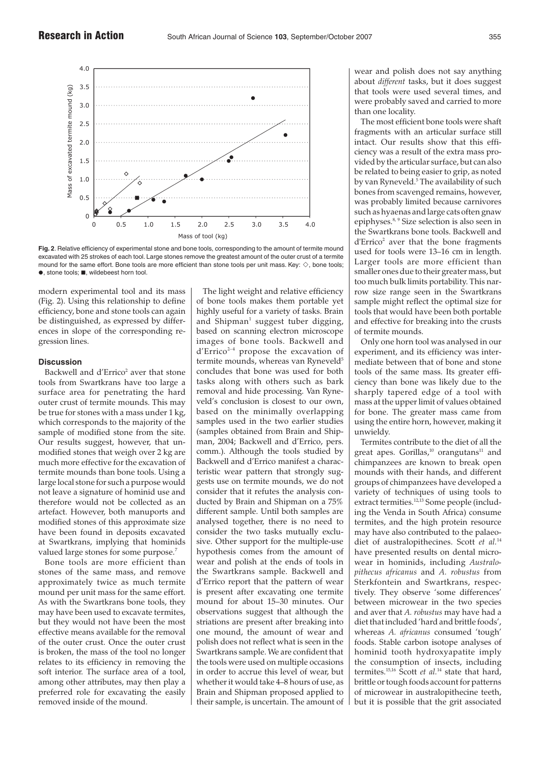

**Fig. 2**. Relative efficiency of experimental stone and bone tools, corresponding to the amount of termite mound excavated with 25 strokes of each tool. Large stones remove the greatest amount of the outer crust of a termite mound for the same effort. Bone tools are more efficient than stone tools per unit mass. Key:  $\diamond$ , bone tools;  $\bullet$  stone tools;  $\blacksquare$  wildebeest horn tool.

modern experimental tool and its mass (Fig. 2). Using this relationship to define efficiency, bone and stone tools can again be distinguished, as expressed by differences in slope of the corresponding regression lines.

### **Discussion**

Backwell and d'Errico<sup>2</sup> aver that stone tools from Swartkrans have too large a surface area for penetrating the hard outer crust of termite mounds. This may be true for stones with a mass under 1 kg, which corresponds to the majority of the sample of modified stone from the site. Our results suggest, however, that unmodified stones that weigh over 2 kg are much more effective for the excavation of termite mounds than bone tools. Using a large local stone for such a purpose would not leave a signature of hominid use and therefore would not be collected as an artefact. However, both manuports and modified stones of this approximate size have been found in deposits excavated at Swartkrans, implying that hominids valued large stones for some purpose.<sup>7</sup>

Bone tools are more efficient than stones of the same mass, and remove approximately twice as much termite mound per unit mass for the same effort. As with the Swartkrans bone tools, they may have been used to excavate termites, but they would not have been the most effective means available for the removal of the outer crust. Once the outer crust is broken, the mass of the tool no longer relates to its efficiency in removing the soft interior. The surface area of a tool, among other attributes, may then play a preferred role for excavating the easily removed inside of the mound.

The light weight and relative efficiency of bone tools makes them portable yet highly useful for a variety of tasks. Brain and Shipman<sup>1</sup> suggest tuber digging, based on scanning electron microscope images of bone tools. Backwell and  $d'$ Errico<sup>2-4</sup> propose the excavation of termite mounds, whereas van Ryneveld<sup>5</sup> concludes that bone was used for both tasks along with others such as bark removal and hide processing. Van Ryneveld's conclusion is closest to our own, based on the minimally overlapping samples used in the two earlier studies (samples obtained from Brain and Shipman, 2004; Backwell and d'Errico, pers. comm.). Although the tools studied by Backwell and d'Errico manifest a characteristic wear pattern that strongly suggests use on termite mounds, we do not consider that it refutes the analysis conducted by Brain and Shipman on a 75% different sample. Until both samples are analysed together, there is no need to consider the two tasks mutually exclusive. Other support for the multiple-use hypothesis comes from the amount of wear and polish at the ends of tools in the Swartkrans sample. Backwell and d'Errico report that the pattern of wear is present after excavating one termite mound for about 15–30 minutes. Our observations suggest that although the striations are present after breaking into one mound, the amount of wear and polish does not reflect what is seen in the Swartkrans sample. We are confident that the tools were used on multiple occasions in order to accrue this level of wear, but whether it would take 4–8 hours of use, as Brain and Shipman proposed applied to their sample, is uncertain. The amount of wear and polish does not say anything about *different* tasks, but it does suggest that tools were used several times, and were probably saved and carried to more than one locality.

The most efficient bone tools were shaft fragments with an articular surface still intact. Our results show that this efficiency was a result of the extra mass provided by the articular surface, but can also be related to being easier to grip, as noted by van Ryneveld.<sup>5</sup> The availability of such bones from scavenged remains, however, was probably limited because carnivores such as hyaenas and large cats often gnaw epiphyses.8, 9 Size selection is also seen in the Swartkrans bone tools. Backwell and  $d'$ Errico<sup>2</sup> aver that the bone fragments used for tools were 13–16 cm in length. Larger tools are more efficient than smaller ones due to their greater mass, but too much bulk limits portability. This narrow size range seen in the Swartkrans sample might reflect the optimal size for tools that would have been both portable and effective for breaking into the crusts of termite mounds.

Only one horn tool was analysed in our experiment, and its efficiency was intermediate between that of bone and stone tools of the same mass. Its greater efficiency than bone was likely due to the sharply tapered edge of a tool with mass at the upper limit of values obtained for bone. The greater mass came from using the entire horn, however, making it unwieldy.

Termites contribute to the diet of all the great apes. Gorillas, $10$  orangutans $11$  and chimpanzees are known to break open mounds with their hands, and different groups of chimpanzees have developed a variety of techniques of using tools to extract termities.<sup>12,13</sup> Some people (including the Venda in South Africa) consume termites, and the high protein resource may have also contributed to the palaeodiet of australopithecines. Scott *et al.*<sup>14</sup> have presented results on dental microwear in hominids, including *Australopithecus africanus* and *A. robustus* from Sterkfontein and Swartkrans, respectively. They observe 'some differences' between microwear in the two species and aver that *A. robustus* may have had a diet that included 'hard and brittle foods', whereas *A. africanus* consumed 'tough' foods. Stable carbon isotope analyses of hominid tooth hydroxyapatite imply the consumption of insects, including termites.15,16 Scott *et al.*<sup>14</sup> state that hard, brittle or tough foods account for patterns of microwear in australopithecine teeth, but it is possible that the grit associated